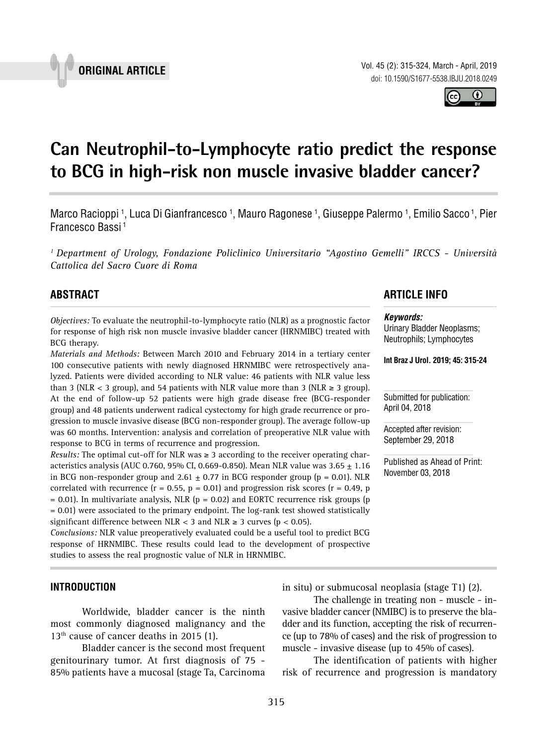Vol. 45 (2): 315-324, March - April, 2019 doi: 10.1590/S1677-5538.IBJU.2018.0249

**Can Neutrophil-to-Lymphocyte ratio predict the response to BCG in high-risk non muscle invasive bladder cancer? \_\_\_\_\_\_\_\_\_\_\_\_\_\_\_\_\_\_\_\_\_\_\_\_\_\_\_\_\_\_\_\_\_\_\_\_\_\_\_\_\_\_\_\_\_\_\_**

Marco Racioppi <sup>1</sup>, Luca Di Gianfrancesco <sup>1</sup>, Mauro Ragonese <sup>1</sup>, Giuseppe Palermo <sup>1</sup>, Emilio Sacco <sup>1</sup>, Pier Francesco Bassi 1

*1 Department of Urology, Fondazione Policlinico Universitario "Agostino Gemelli" IRCCS - Università Cattolica del Sacro Cuore di Roma*

# **ABSTRACT**

*Objectives:* To evaluate the neutrophil-to-lymphocyte ratio (NLR) as a prognostic factor for response of high risk non muscle invasive bladder cancer (HRNMIBC) treated with BCG therapy.

*Materials and Methods:* Between March 2010 and February 2014 in a tertiary center 100 consecutive patients with newly diagnosed HRNMIBC were retrospectively analyzed. Patients were divided according to NLR value: 46 patients with NLR value less than 3 (NLR < 3 group), and 54 patients with NLR value more than 3 (NLR  $\geq$  3 group). At the end of follow-up 52 patients were high grade disease free (BCG-responder group) and 48 patients underwent radical cystectomy for high grade recurrence or progression to muscle invasive disease (BCG non-responder group). The average follow-up was 60 months. Intervention: analysis and correlation of preoperative NLR value with response to BCG in terms of recurrence and progression.

*Results:* The optimal cut-off for NLR was  $\geq$  3 according to the receiver operating characteristics analysis (AUC 0.760, 95% CI, 0.669-0.850). Mean NLR value was  $3.65 \pm 1.16$ in BCG non-responder group and 2.61  $\pm$  0.77 in BCG responder group (p = 0.01). NLR correlated with recurrence ( $r = 0.55$ ,  $p = 0.01$ ) and progression risk scores ( $r = 0.49$ ,  $p$  $= 0.01$ ). In multivariate analysis, NLR ( $p = 0.02$ ) and EORTC recurrence risk groups (p = 0.01) were associated to the primary endpoint. The log-rank test showed statistically significant difference between NLR < 3 and NLR  $\geq$  3 curves (p < 0.05).

*Conclusions:* NLR value preoperatively evaluated could be a useful tool to predict BCG response of HRNMIBC. These results could lead to the development of prospective studies to assess the real prognostic value of NLR in HRNMIBC.

## **INTRODUCTION**

Worldwide, bladder cancer is the ninth most commonly diagnosed malignancy and the  $13<sup>th</sup>$  cause of cancer deaths in 2015 (1).

Bladder cancer is the second most frequent genitourinary tumor. At first diagnosis of 75 - 85% patients have a mucosal (stage Ta, Carcinoma

# **ARTICLE INFO**

#### *Keywords:*

Urinary Bladder Neoplasms; Neutrophils; Lymphocytes

**Int Braz J Urol. 2019; 45: 315-24**

Submitted for publication: April 04, 2018

Accepted after revision: September 29, 2018

Published as Ahead of Print: November 03, 2018

in situ) or submucosal neoplasia (stage T1) (2). The challenge in treating non - muscle - in-

vasive bladder cancer (NMIBC) is to preserve the bladder and its function, accepting the risk of recurrence (up to 78% of cases) and the risk of progression to muscle - invasive disease (up to 45% of cases).

The identification of patients with higher risk of recurrence and progression is mandatory



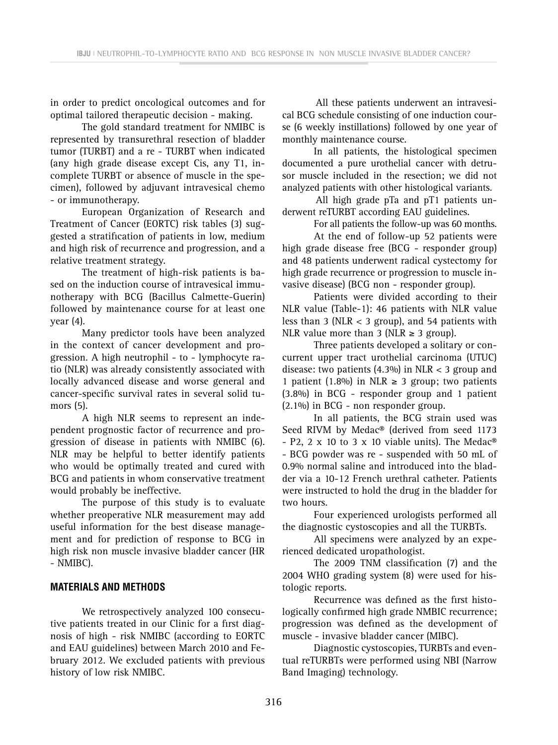in order to predict oncological outcomes and for optimal tailored therapeutic decision - making.

The gold standard treatment for NMIBC is represented by transurethral resection of bladder tumor (TURBT) and a re - TURBT when indicated (any high grade disease except Cis, any T1, incomplete TURBT or absence of muscle in the specimen), followed by adjuvant intravesical chemo - or immunotherapy.

European Organization of Research and Treatment of Cancer (EORTC) risk tables (3) suggested a stratification of patients in low, medium and high risk of recurrence and progression, and a relative treatment strategy.

The treatment of high-risk patients is based on the induction course of intravesical immunotherapy with BCG (Bacillus Calmette-Guerin) followed by maintenance course for at least one year (4).

Many predictor tools have been analyzed in the context of cancer development and progression. A high neutrophil - to - lymphocyte ratio (NLR) was already consistently associated with locally advanced disease and worse general and cancer-specific survival rates in several solid tumors (5).

A high NLR seems to represent an independent prognostic factor of recurrence and progression of disease in patients with NMIBC (6). NLR may be helpful to better identify patients who would be optimally treated and cured with BCG and patients in whom conservative treatment would probably be ineffective.

The purpose of this study is to evaluate whether preoperative NLR measurement may add useful information for the best disease management and for prediction of response to BCG in high risk non muscle invasive bladder cancer (HR - NMIBC).

### **MATERIALS AND METHODS**

We retrospectively analyzed 100 consecutive patients treated in our Clinic for a first diagnosis of high - risk NMIBC (according to EORTC and EAU guidelines) between March 2010 and February 2012. We excluded patients with previous history of low risk NMIBC.

All these patients underwent an intravesical BCG schedule consisting of one induction course (6 weekly instillations) followed by one year of monthly maintenance course.

In all patients, the histological specimen documented a pure urothelial cancer with detrusor muscle included in the resection; we did not analyzed patients with other histological variants.

All high grade pTa and pT1 patients underwent reTURBT according EAU guidelines.

For all patients the follow-up was 60 months.

At the end of follow-up 52 patients were high grade disease free (BCG - responder group) and 48 patients underwent radical cystectomy for high grade recurrence or progression to muscle invasive disease) (BCG non - responder group).

Patients were divided according to their NLR value (Table-1): 46 patients with NLR value less than 3 (NLR  $<$  3 group), and 54 patients with NLR value more than 3 (NLR  $\geq$  3 group).

Three patients developed a solitary or concurrent upper tract urothelial carcinoma (UTUC) disease: two patients  $(4.3\%)$  in NLR  $<$  3 group and 1 patient (1.8%) in NLR  $\geq$  3 group; two patients (3.8%) in BCG - responder group and 1 patient (2.1%) in BCG - non responder group.

In all patients, the BCG strain used was Seed RIVM by Medac® (derived from seed 1173 - P2, 2 x 10 to 3 x 10 viable units). The Medac<sup>®</sup> - BCG powder was re - suspended with 50 mL of 0.9% normal saline and introduced into the bladder via a 10-12 French urethral catheter. Patients were instructed to hold the drug in the bladder for two hours.

Four experienced urologists performed all the diagnostic cystoscopies and all the TURBTs.

All specimens were analyzed by an experienced dedicated uropathologist.

The 2009 TNM classification (7) and the 2004 WHO grading system (8) were used for histologic reports.

Recurrence was defined as the first histologically confirmed high grade NMBIC recurrence; progression was defined as the development of muscle - invasive bladder cancer (MIBC).

Diagnostic cystoscopies, TURBTs and eventual reTURBTs were performed using NBI (Narrow Band Imaging) technology.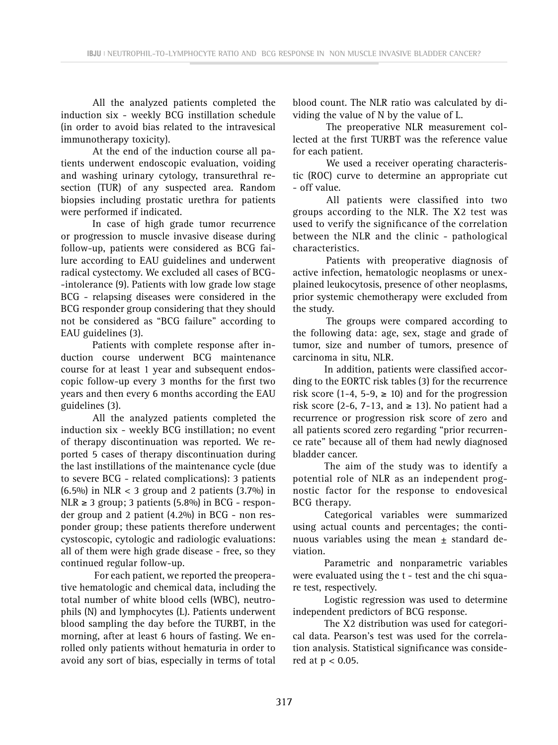All the analyzed patients completed the induction six - weekly BCG instillation schedule (in order to avoid bias related to the intravesical immunotherapy toxicity).

At the end of the induction course all patients underwent endoscopic evaluation, voiding and washing urinary cytology, transurethral resection (TUR) of any suspected area. Random biopsies including prostatic urethra for patients were performed if indicated.

In case of high grade tumor recurrence or progression to muscle invasive disease during follow-up, patients were considered as BCG failure according to EAU guidelines and underwent radical cystectomy. We excluded all cases of BCG- -intolerance (9). Patients with low grade low stage BCG - relapsing diseases were considered in the BCG responder group considering that they should not be considered as "BCG failure" according to EAU guidelines (3).

Patients with complete response after induction course underwent BCG maintenance course for at least 1 year and subsequent endoscopic follow-up every 3 months for the first two years and then every 6 months according the EAU guidelines (3).

All the analyzed patients completed the induction six - weekly BCG instillation; no event of therapy discontinuation was reported. We reported 5 cases of therapy discontinuation during the last instillations of the maintenance cycle (due to severe BCG - related complications): 3 patients  $(6.5\%)$  in NLR < 3 group and 2 patients  $(3.7\%)$  in  $NLR \geq 3$  group; 3 patients (5.8%) in BCG - responder group and 2 patient (4.2%) in BCG - non responder group; these patients therefore underwent cystoscopic, cytologic and radiologic evaluations: all of them were high grade disease - free, so they continued regular follow-up.

For each patient, we reported the preoperative hematologic and chemical data, including the total number of white blood cells (WBC), neutrophils (N) and lymphocytes (L). Patients underwent blood sampling the day before the TURBT, in the morning, after at least 6 hours of fasting. We enrolled only patients without hematuria in order to avoid any sort of bias, especially in terms of total blood count. The NLR ratio was calculated by dividing the value of N by the value of L.

The preoperative NLR measurement collected at the first TURBT was the reference value for each patient.

We used a receiver operating characteristic (ROC) curve to determine an appropriate cut - off value.

All patients were classified into two groups according to the NLR. The X2 test was used to verify the significance of the correlation between the NLR and the clinic - pathological characteristics.

Patients with preoperative diagnosis of active infection, hematologic neoplasms or unexplained leukocytosis, presence of other neoplasms, prior systemic chemotherapy were excluded from the study.

The groups were compared according to the following data: age, sex, stage and grade of tumor, size and number of tumors, presence of carcinoma in situ, NLR.

In addition, patients were classified according to the EORTC risk tables (3) for the recurrence risk score (1-4, 5-9,  $\geq$  10) and for the progression risk score (2-6, 7-13, and  $\geq$  13). No patient had a recurrence or progression risk score of zero and all patients scored zero regarding "prior recurrence rate" because all of them had newly diagnosed bladder cancer.

The aim of the study was to identify a potential role of NLR as an independent prognostic factor for the response to endovesical BCG therapy.

Categorical variables were summarized using actual counts and percentages; the continuous variables using the mean  $\pm$  standard deviation.

Parametric and nonparametric variables were evaluated using the t - test and the chi square test, respectively.

Logistic regression was used to determine independent predictors of BCG response.

The X2 distribution was used for categorical data. Pearson's test was used for the correlation analysis. Statistical significance was considered at p < 0.05.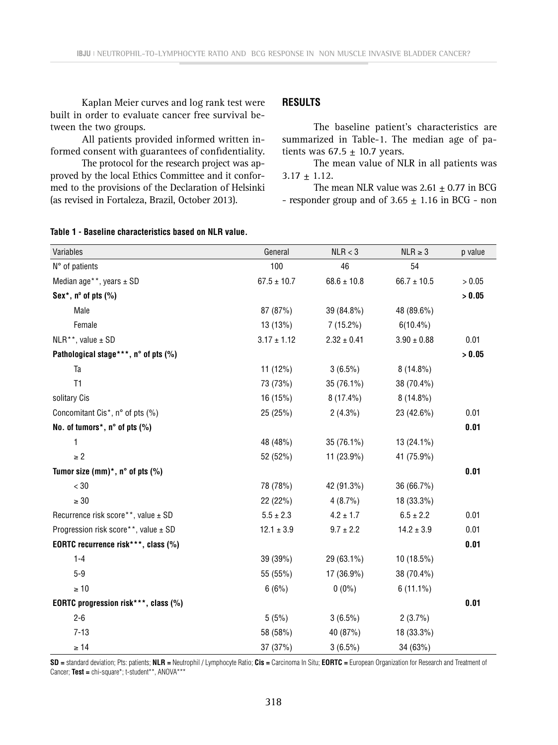Kaplan Meier curves and log rank test were built in order to evaluate cancer free survival between the two groups.

All patients provided informed written informed consent with guarantees of confidentiality.

The protocol for the research project was approved by the local Ethics Committee and it conformed to the provisions of the Declaration of Helsinki (as revised in Fortaleza, Brazil, October 2013).

# **RESULTS**

The baseline patient's characteristics are summarized in Table-1. The median age of patients was  $67.5 \pm 10.7$  years.

The mean value of NLR in all patients was  $3.17 \pm 1.12$ .

The mean NLR value was  $2.61 \pm 0.77$  in BCG - responder group and of  $3.65 \pm 1.16$  in BCG - non

### **Table 1 - Baseline characteristics based on NLR value.**

| Variables                                    | General         | NLR < 3         | $NLR \geq 3$    | p value |
|----------------------------------------------|-----------------|-----------------|-----------------|---------|
| N° of patients                               | 100             | 46              | 54              |         |
| Median age <sup>**</sup> , years $\pm$ SD    | $67.5 \pm 10.7$ | $68.6 \pm 10.8$ | $66.7 \pm 10.5$ | > 0.05  |
| Sex*, $n^{\circ}$ of pts $(\%)$              |                 |                 |                 | > 0.05  |
| Male                                         | 87 (87%)        | 39 (84.8%)      | 48 (89.6%)      |         |
| Female                                       | 13 (13%)        | $7(15.2\%)$     | $6(10.4\%)$     |         |
| NLR**, value ± SD                            | $3.17 \pm 1.12$ | $2.32 \pm 0.41$ | $3.90 \pm 0.88$ | 0.01    |
| Pathological stage***, n° of pts (%)         |                 |                 |                 | > 0.05  |
| Ta                                           | $11(12\%)$      | $3(6.5\%)$      | $8(14.8\%)$     |         |
| T <sub>1</sub>                               | 73 (73%)        | 35 (76.1%)      | 38 (70.4%)      |         |
| solitary Cis                                 | 16 (15%)        | $8(17.4\%)$     | $8(14.8\%)$     |         |
| Concomitant Cis <sup>*</sup> , n° of pts (%) | 25 (25%)        | $2(4.3\%)$      | 23 (42.6%)      | 0.01    |
| No. of tumors*, n° of pts (%)                |                 |                 |                 | 0.01    |
| $\mathbf{1}$                                 | 48 (48%)        | 35 (76.1%)      | $13(24.1\%)$    |         |
| $\geq 2$                                     | 52 (52%)        | 11 (23.9%)      | 41 (75.9%)      |         |
| Tumor size $(mm)^*$ , n° of pts $(\%)$       |                 |                 |                 | 0.01    |
| $< 30\,$                                     | 78 (78%)        | 42 (91.3%)      | 36 (66.7%)      |         |
| $\geq 30$                                    | 22 (22%)        | 4(8.7%)         | 18 (33.3%)      |         |
| Recurrence risk score**, value ± SD          | $5.5\pm2.3$     | $4.2 \pm 1.7$   | $6.5 \pm 2.2$   | 0.01    |
| Progression risk score**, value ± SD         | $12.1 \pm 3.9$  | $9.7 \pm 2.2$   | $14.2 \pm 3.9$  | 0.01    |
| EORTC recurrence risk***, class (%)          |                 |                 |                 | 0.01    |
| $1 - 4$                                      | 39 (39%)        | 29 (63.1%)      | 10 (18.5%)      |         |
| $5-9$                                        | 55 (55%)        | 17 (36.9%)      | 38 (70.4%)      |         |
| $\geq 10$                                    | 6(6%)           | $0(0\%)$        | $6(11.1\%)$     |         |
| EORTC progression risk***, class (%)         |                 |                 |                 | 0.01    |
| $2 - 6$                                      | 5(5%)           | $3(6.5\%)$      | 2(3.7%)         |         |
| $7 - 13$                                     | 58 (58%)        | 40 (87%)        | 18 (33.3%)      |         |
| $\geq 14$                                    | 37 (37%)        | $3(6.5\%)$      | 34 (63%)        |         |

**SD =** standard deviation; Pts: patients; **NLR =** Neutrophil / Lymphocyte Ratio; **Cis =** Carcinoma In Situ; **EORTC =** European Organization for Research and Treatment of Cancer; **Test =** chi-square\*; t-student\*\*, ANOVA\*\*\*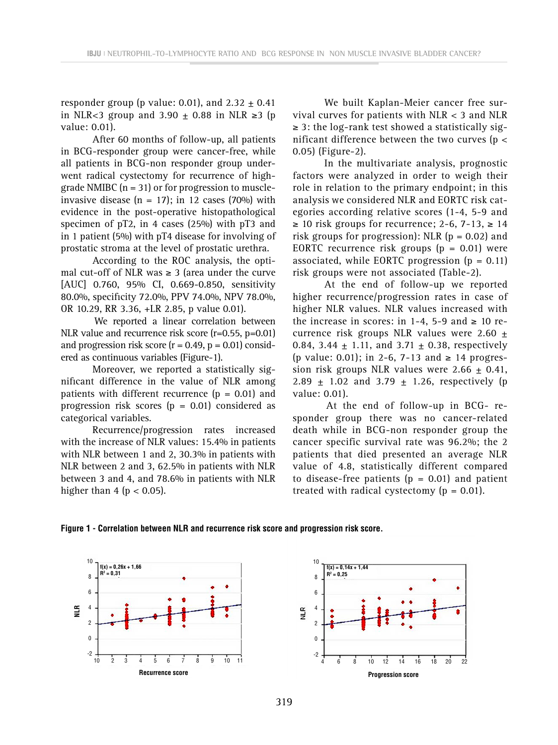responder group (p value: 0.01), and  $2.32 + 0.41$ in NLR<3 group and 3.90  $\pm$  0.88 in NLR ≥3 (p value: 0.01).

After 60 months of follow-up, all patients in BCG-responder group were cancer-free, while all patients in BCG-non responder group underwent radical cystectomy for recurrence of highgrade NMIBC  $(n = 31)$  or for progression to muscleinvasive disease ( $n = 17$ ); in 12 cases (70%) with evidence in the post-operative histopathological specimen of pT2, in 4 cases (25%) with pT3 and in 1 patient (5%) with pT4 disease for involving of prostatic stroma at the level of prostatic urethra.

According to the ROC analysis, the optimal cut-off of NLR was  $\geq$  3 (area under the curve [AUC] 0.760, 95% CI, 0.669-0.850, sensitivity 80.0%, specificity 72.0%, PPV 74.0%, NPV 78.0%, OR 10.29, RR 3.36, +LR 2.85, p value 0.01).

We reported a linear correlation between NLR value and recurrence risk score (r=0.55, p=0.01) and progression risk score  $(r = 0.49, p = 0.01)$  considered as continuous variables (Figure-1).

Moreover, we reported a statistically significant difference in the value of NLR among patients with different recurrence  $(p = 0.01)$  and progression risk scores  $(p = 0.01)$  considered as categorical variables.

Recurrence/progression rates increased with the increase of NLR values: 15.4% in patients with NLR between 1 and 2, 30.3% in patients with NLR between 2 and 3, 62.5% in patients with NLR between 3 and 4, and 78.6% in patients with NLR higher than 4 ( $p < 0.05$ ).

We built Kaplan-Meier cancer free survival curves for patients with NLR < 3 and NLR  $\geq$  3: the log-rank test showed a statistically significant difference between the two curves ( $p <$ 0.05) (Figure-2).

In the multivariate analysis, prognostic factors were analyzed in order to weigh their role in relation to the primary endpoint; in this analysis we considered NLR and EORTC risk categories according relative scores (1-4, 5-9 and  $\geq$  10 risk groups for recurrence; 2-6, 7-13,  $\geq$  14 risk groups for progression): NLR  $(p = 0.02)$  and EORTC recurrence risk groups  $(p = 0.01)$  were associated, while EORTC progression  $(p = 0.11)$ risk groups were not associated (Table-2).

At the end of follow-up we reported higher recurrence/progression rates in case of higher NLR values. NLR values increased with the increase in scores: in 1-4, 5-9 and  $\geq 10$  recurrence risk groups NLR values were 2.60  $\pm$ 0.84, 3.44  $\pm$  1.11, and 3.71  $\pm$  0.38, respectively (p value: 0.01); in 2-6, 7-13 and ≥ 14 progression risk groups NLR values were  $2.66 + 0.41$ , 2.89  $\pm$  1.02 and 3.79  $\pm$  1.26, respectively (p value: 0.01).

At the end of follow-up in BCG- responder group there was no cancer-related death while in BCG-non responder group the cancer specific survival rate was 96.2%; the 2 patients that died presented an average NLR value of 4.8, statistically different compared to disease-free patients ( $p = 0.01$ ) and patient treated with radical cystectomy  $(p = 0.01)$ .

**Figure 1 - Correlation between NLR and recurrence risk score and progression risk score.**



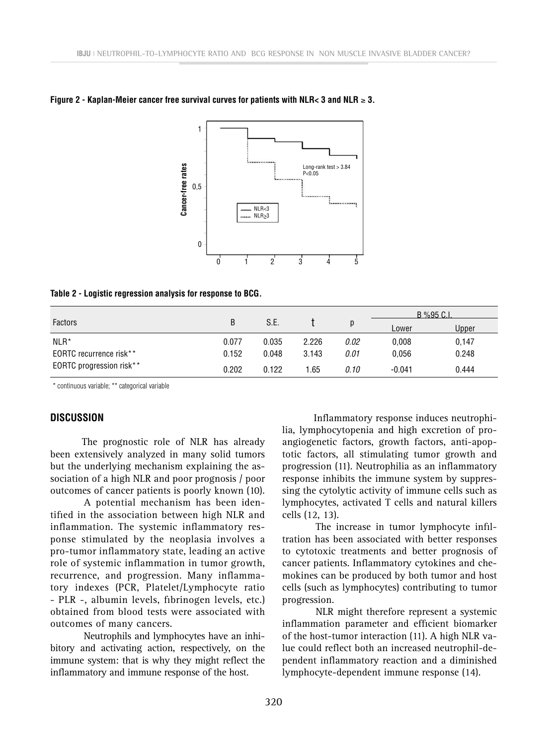

### **Figure 2 - Kaplan-Meier cancer free survival curves for patients with NLR< 3 and NLR** ≥ **3.**

#### **Table 2 - Logistic regression analysis for response to BCG.**

|                          |       |       |       | p    | $B\%95 C.1$ |       |
|--------------------------|-------|-------|-------|------|-------------|-------|
| <b>Factors</b>           | B     | S.E.  |       |      | Lower       | Upper |
| $NLR^*$                  | 0.077 | 0.035 | 2.226 | 0.02 | 0.008       | 0,147 |
| EORTC recurrence risk**  | 0.152 | 0.048 | 3.143 | 0.01 | 0.056       | 0.248 |
| EORTC progression risk** | 0.202 | 0.122 | 1.65  | 0.10 | $-0.041$    | 0.444 |

\* continuous variable; \*\* categorical variable

## **DISCUSSION**

The prognostic role of NLR has already been extensively analyzed in many solid tumors but the underlying mechanism explaining the association of a high NLR and poor prognosis / poor outcomes of cancer patients is poorly known (10).

A potential mechanism has been identified in the association between high NLR and inflammation. The systemic inflammatory response stimulated by the neoplasia involves a pro-tumor inflammatory state, leading an active role of systemic inflammation in tumor growth, recurrence, and progression. Many inflammatory indexes (PCR, Platelet/Lymphocyte ratio - PLR -, albumin levels, fibrinogen levels, etc.) obtained from blood tests were associated with outcomes of many cancers.

Neutrophils and lymphocytes have an inhibitory and activating action, respectively, on the immune system: that is why they might reflect the inflammatory and immune response of the host.

Inflammatory response induces neutrophilia, lymphocytopenia and high excretion of proangiogenetic factors, growth factors, anti-apoptotic factors, all stimulating tumor growth and progression (11). Neutrophilia as an inflammatory response inhibits the immune system by suppressing the cytolytic activity of immune cells such as lymphocytes, activated T cells and natural killers cells (12, 13).

The increase in tumor lymphocyte infiltration has been associated with better responses to cytotoxic treatments and better prognosis of cancer patients. Inflammatory cytokines and chemokines can be produced by both tumor and host cells (such as lymphocytes) contributing to tumor progression.

NLR might therefore represent a systemic inflammation parameter and efficient biomarker of the host-tumor interaction (11). A high NLR value could reflect both an increased neutrophil-dependent inflammatory reaction and a diminished lymphocyte-dependent immune response (14).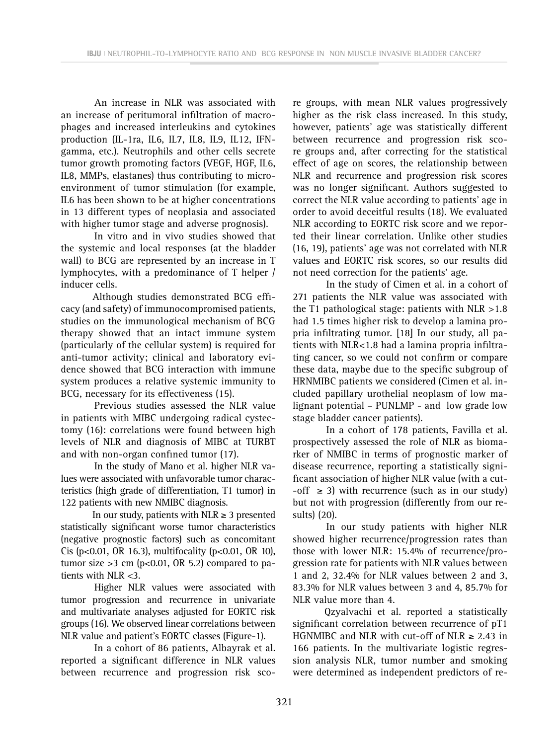An increase in NLR was associated with an increase of peritumoral infiltration of macrophages and increased interleukins and cytokines production (IL-1ra, IL6, IL7, IL8, IL9, IL12, IFNgamma, etc.). Neutrophils and other cells secrete tumor growth promoting factors (VEGF, HGF, IL6, IL8, MMPs, elastanes) thus contributing to microenvironment of tumor stimulation (for example, IL6 has been shown to be at higher concentrations in 13 different types of neoplasia and associated with higher tumor stage and adverse prognosis).

In vitro and in vivo studies showed that the systemic and local responses (at the bladder wall) to BCG are represented by an increase in T lymphocytes, with a predominance of T helper / inducer cells.

Although studies demonstrated BCG efficacy (and safety) of immunocompromised patients, studies on the immunological mechanism of BCG therapy showed that an intact immune system (particularly of the cellular system) is required for anti-tumor activity; clinical and laboratory evidence showed that BCG interaction with immune system produces a relative systemic immunity to BCG, necessary for its effectiveness (15).

Previous studies assessed the NLR value in patients with MIBC undergoing radical cystectomy (16): correlations were found between high levels of NLR and diagnosis of MIBC at TURBT and with non-organ confined tumor (17).

In the study of Mano et al. higher NLR values were associated with unfavorable tumor characteristics (high grade of differentiation, T1 tumor) in 122 patients with new NMIBC diagnosis.

In our study, patients with  $NLR \geq 3$  presented statistically significant worse tumor characteristics (negative prognostic factors) such as concomitant Cis (p<0.01, OR 16.3), multifocality (p<0.01, OR 10), tumor size  $>3$  cm (p<0.01, OR 5.2) compared to patients with NLR <3.

Higher NLR values were associated with tumor progression and recurrence in univariate and multivariate analyses adjusted for EORTC risk groups (16). We observed linear correlations between NLR value and patient's EORTC classes (Figure-1).

In a cohort of 86 patients, Albayrak et al. reported a significant difference in NLR values between recurrence and progression risk score groups, with mean NLR values progressively higher as the risk class increased. In this study, however, patients' age was statistically different between recurrence and progression risk score groups and, after correcting for the statistical effect of age on scores, the relationship between NLR and recurrence and progression risk scores was no longer significant. Authors suggested to correct the NLR value according to patients' age in order to avoid deceitful results (18). We evaluated NLR according to EORTC risk score and we reported their linear correlation. Unlike other studies (16, 19), patients' age was not correlated with NLR values and EORTC risk scores, so our results did not need correction for the patients' age.

In the study of Cimen et al. in a cohort of 271 patients the NLR value was associated with the T1 pathological stage: patients with NLR >1.8 had 1.5 times higher risk to develop a lamina propria infiltrating tumor. [18] In our study, all patients with NLR<1.8 had a lamina propria infiltrating cancer, so we could not confirm or compare these data, maybe due to the specific subgroup of HRNMIBC patients we considered (Cimen et al. included papillary urothelial neoplasm of low malignant potential – PUNLMP - and low grade low stage bladder cancer patients).

In a cohort of 178 patients, Favilla et al. prospectively assessed the role of NLR as biomarker of NMIBC in terms of prognostic marker of disease recurrence, reporting a statistically significant association of higher NLR value (with a cut-  $-$ off  $\geq$  3) with recurrence (such as in our study) but not with progression (differently from our results) (20).

In our study patients with higher NLR showed higher recurrence/progression rates than those with lower NLR: 15.4% of recurrence/progression rate for patients with NLR values between 1 and 2, 32.4% for NLR values between 2 and 3, 83.3% for NLR values between 3 and 4, 85.7% for NLR value more than 4.

Qzyalvachi et al. reported a statistically significant correlation between recurrence of pT1 HGNMIBC and NLR with cut-off of NLR  $\geq 2.43$  in 166 patients. In the multivariate logistic regression analysis NLR, tumor number and smoking were determined as independent predictors of re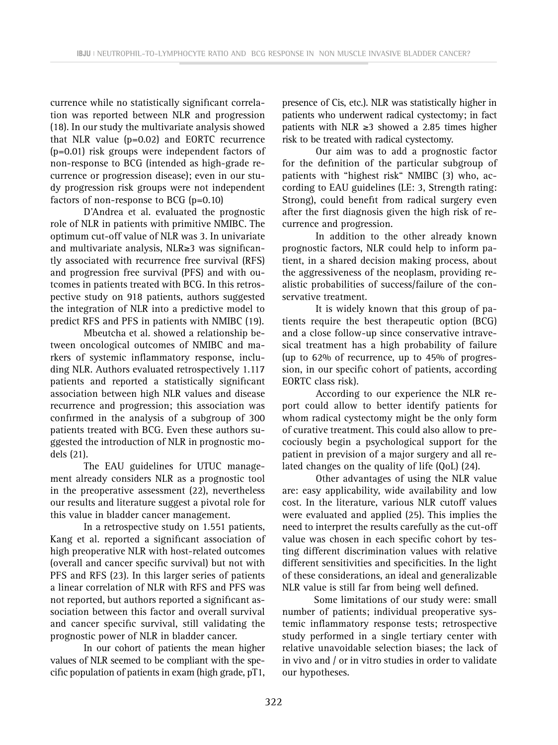currence while no statistically significant correlation was reported between NLR and progression (18). In our study the multivariate analysis showed that NLR value (p=0.02) and EORTC recurrence (p=0.01) risk groups were independent factors of non-response to BCG (intended as high-grade recurrence or progression disease); even in our study progression risk groups were not independent factors of non-response to BCG (p=0.10)

D'Andrea et al. evaluated the prognostic role of NLR in patients with primitive NMIBC. The optimum cut-off value of NLR was 3. In univariate and multivariate analysis, NLR≥3 was significantly associated with recurrence free survival (RFS) and progression free survival (PFS) and with outcomes in patients treated with BCG. In this retrospective study on 918 patients, authors suggested the integration of NLR into a predictive model to predict RFS and PFS in patients with NMIBC (19).

Mbeutcha et al. showed a relationship between oncological outcomes of NMIBC and markers of systemic inflammatory response, including NLR. Authors evaluated retrospectively 1.117 patients and reported a statistically significant association between high NLR values and disease recurrence and progression; this association was confirmed in the analysis of a subgroup of 300 patients treated with BCG. Even these authors suggested the introduction of NLR in prognostic models (21).

The EAU guidelines for UTUC management already considers NLR as a prognostic tool in the preoperative assessment (22), nevertheless our results and literature suggest a pivotal role for this value in bladder cancer management.

In a retrospective study on 1.551 patients, Kang et al. reported a significant association of high preoperative NLR with host-related outcomes (overall and cancer specific survival) but not with PFS and RFS (23). In this larger series of patients a linear correlation of NLR with RFS and PFS was not reported, but authors reported a significant association between this factor and overall survival and cancer specific survival, still validating the prognostic power of NLR in bladder cancer.

In our cohort of patients the mean higher values of NLR seemed to be compliant with the specific population of patients in exam (high grade, pT1, presence of Cis, etc.). NLR was statistically higher in patients who underwent radical cystectomy; in fact patients with NLR ≥3 showed a 2.85 times higher risk to be treated with radical cystectomy.

Our aim was to add a prognostic factor for the definition of the particular subgroup of patients with "highest risk" NMIBC (3) who, according to EAU guidelines (LE: 3, Strength rating: Strong), could benefit from radical surgery even after the first diagnosis given the high risk of recurrence and progression.

In addition to the other already known prognostic factors, NLR could help to inform patient, in a shared decision making process, about the aggressiveness of the neoplasm, providing realistic probabilities of success/failure of the conservative treatment.

It is widely known that this group of patients require the best therapeutic option (BCG) and a close follow-up since conservative intravesical treatment has a high probability of failure (up to 62% of recurrence, up to 45% of progression, in our specific cohort of patients, according EORTC class risk).

According to our experience the NLR report could allow to better identify patients for whom radical cystectomy might be the only form of curative treatment. This could also allow to precociously begin a psychological support for the patient in prevision of a major surgery and all related changes on the quality of life (QoL) (24).

Other advantages of using the NLR value are: easy applicability, wide availability and low cost. In the literature, various NLR cutoff values were evaluated and applied (25). This implies the need to interpret the results carefully as the cut-off value was chosen in each specific cohort by testing different discrimination values with relative different sensitivities and specificities. In the light of these considerations, an ideal and generalizable NLR value is still far from being well defined.

Some limitations of our study were: small number of patients; individual preoperative systemic inflammatory response tests; retrospective study performed in a single tertiary center with relative unavoidable selection biases; the lack of in vivo and / or in vitro studies in order to validate our hypotheses.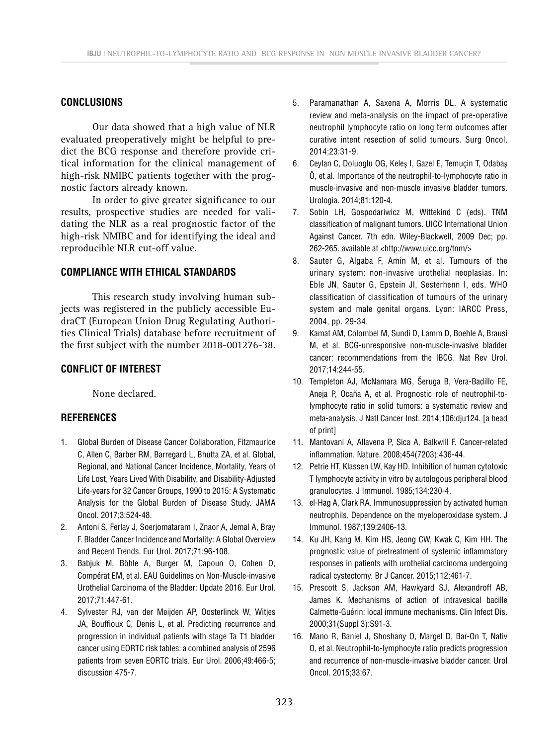## **CONCLUSIONS**

Our data showed that a high value of NLR evaluated preoperatively might be helpful to predict the BCG response and therefore provide critical information for the clinical management of high-risk NMIBC patients together with the prognostic factors already known.

In order to give greater significance to our results, prospective studies are needed for validating the NLR as a real prognostic factor of the high-risk NMIBC and for identifying the ideal and reproducible NLR cut-off value.

## **COMPLIANCE WITH ETHICAL STANDARDS**

This research study involving human subjects was registered in the publicly accessible EudraCT (European Union Drug Regulating Authorities Clinical Trials) database before recruitment of the first subject with the number 2018-001276-38.

# **CONFLICT OF INTEREST**

None declared.

## **REFERENCES**

- 1. Global Burden of Disease Cancer Collaboration, Fitzmaurice C, Allen C, Barber RM, Barregard L, Bhutta ZA, et al. Global, Regional, and National Cancer Incidence, Mortality, Years of Life Lost, Years Lived With Disability, and Disability-Adjusted Life-years for 32 Cancer Groups, 1990 to 2015: A Systematic Analysis for the Global Burden of Disease Study. JAMA Oncol. 2017;3:524-48.
- 2. Antoni S, Ferlay J, Soerjomataram I, Znaor A, Jemal A, Bray F. Bladder Cancer Incidence and Mortality: A Global Overview and Recent Trends. Eur Urol. 2017;71:96-108.
- 3. Babjuk M, Böhle A, Burger M, Capoun O, Cohen D, Compérat EM, et al. EAU Guidelines on Non-Muscle-invasive Urothelial Carcinoma of the Bladder: Update 2016. Eur Urol. 2017;71:447-61.
- 4. Sylvester RJ, van der Meijden AP, Oosterlinck W, Witjes JA, Bouffioux C, Denis L, et al. Predicting recurrence and progression in individual patients with stage Ta T1 bladder cancer using EORTC risk tables: a combined analysis of 2596 patients from seven EORTC trials. Eur Urol. 2006;49:466-5; discussion 475-7.
- 5. Paramanathan A, Saxena A, Morris DL. A systematic review and meta-analysis on the impact of pre-operative neutrophil lymphocyte ratio on long term outcomes after curative intent resection of solid tumours. Surg Oncol. 2014;23:31-9.
- 6. Ceylan C, Doluoglu OG, Keleş I, Gazel E, Temuçin T, Odabaş Ö, et al. Importance of the neutrophil-to-lymphocyte ratio in muscle-invasive and non-muscle invasive bladder tumors. Urologia. 2014;81:120-4.
- 7. Sobin LH, Gospodariwicz M, Wittekind C (eds). TNM classification of malignant tumors. UICC International Union Against Cancer. 7th edn. Wiley-Blackwell, 2009 Dec; pp. 262-265. available at <http://www.uicc.org/tnm/>
- 8. Sauter G, Algaba F, Amin M, et al. Tumours of the urinary system: non-invasive urothelial neoplasias. In: Eble JN, Sauter G, Epstein Jl, Sesterhenn I, eds. WHO classification of classification of tumours of the urinary system and male genital organs. Lyon: IARCC Press, 2004, pp. 29-34.
- 9. Kamat AM, Colombel M, Sundi D, Lamm D, Boehle A, Brausi M, et al. BCG-unresponsive non-muscle-invasive bladder cancer: recommendations from the IBCG. Nat Rev Urol. 2017;14:244-55.
- 10. Templeton AJ, McNamara MG, Šeruga B, Vera-Badillo FE, Aneja P, Ocaña A, et al. Prognostic role of neutrophil-tolymphocyte ratio in solid tumors: a systematic review and meta-analysis. J Natl Cancer Inst. 2014;106:dju124. [a head of print]
- 11. Mantovani A, Allavena P, Sica A, Balkwill F. Cancer-related inflammation. Nature. 2008;454(7203):436-44.
- 12. Petrie HT, Klassen LW, Kay HD. Inhibition of human cytotoxic T lymphocyte activity in vitro by autologous peripheral blood granulocytes. J Immunol. 1985;134:230-4.
- 13. el-Hag A, Clark RA. Immunosuppression by activated human neutrophils. Dependence on the myeloperoxidase system. J Immunol. 1987;139:2406-13.
- 14. Ku JH, Kang M, Kim HS, Jeong CW, Kwak C, Kim HH. The prognostic value of pretreatment of systemic inflammatory responses in patients with urothelial carcinoma undergoing radical cystectomy. Br J Cancer. 2015;112:461-7.
- 15. Prescott S, Jackson AM, Hawkyard SJ, Alexandroff AB, James K. Mechanisms of action of intravesical bacille Calmette-Guérin: local immune mechanisms. Clin Infect Dis. 2000;31(Suppl 3):S91-3.
- 16. Mano R, Baniel J, Shoshany O, Margel D, Bar-On T, Nativ O, et al. Neutrophil-to-lymphocyte ratio predicts progression and recurrence of non-muscle-invasive bladder cancer. Urol Oncol. 2015;33:67.